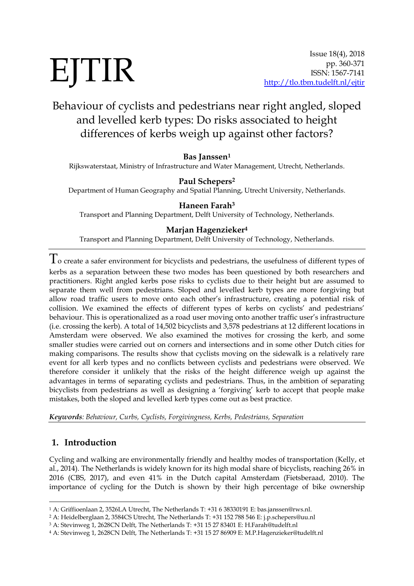# EJTIR

# Behaviour of cyclists and pedestrians near right angled, sloped and levelled kerb types: Do risks associated to height differences of kerbs weigh up against other factors?

#### **Bas Janssen<sup>1</sup>**

Rijkswaterstaat, Ministry of Infrastructure and Water Management, Utrecht, Netherlands.

#### **Paul Schepers<sup>2</sup>**

Department of Human Geography and Spatial Planning, Utrecht University, Netherlands.

#### **Haneen Farah<sup>3</sup>**

Transport and Planning Department, Delft University of Technology, Netherlands.

#### **Marjan Hagenzieker<sup>4</sup>**

Transport and Planning Department, Delft University of Technology, Netherlands.

 $\Gamma$  o create a safer environment for bicyclists and pedestrians, the usefulness of different types of kerbs as a separation between these two modes has been questioned by both researchers and practitioners. Right angled kerbs pose risks to cyclists due to their height but are assumed to separate them well from pedestrians. Sloped and levelled kerb types are more forgiving but allow road traffic users to move onto each other's infrastructure, creating a potential risk of collision. We examined the effects of different types of kerbs on cyclists' and pedestrians' behaviour. This is operationalized as a road user moving onto another traffic user's infrastructure (i.e. crossing the kerb). A total of 14,502 bicyclists and 3,578 pedestrians at 12 different locations in Amsterdam were observed. We also examined the motives for crossing the kerb, and some smaller studies were carried out on corners and intersections and in some other Dutch cities for making comparisons. The results show that cyclists moving on the sidewalk is a relatively rare event for all kerb types and no conflicts between cyclists and pedestrians were observed. We therefore consider it unlikely that the risks of the height difference weigh up against the advantages in terms of separating cyclists and pedestrians. Thus, in the ambition of separating bicyclists from pedestrians as well as designing a 'forgiving' kerb to accept that people make mistakes, both the sloped and levelled kerb types come out as best practice.

*Keywords: Behaviour, Curbs, Cyclists, Forgivingness, Kerbs, Pedestrians, Separation*

#### **1. Introduction**

-

Cycling and walking are environmentally friendly and healthy modes of transportation (Kelly, et al., 2014). The Netherlands is widely known for its high modal share of bicyclists, reaching 26% in 2016 (CBS, 2017), and even 41% in the Dutch capital Amsterdam (Fietsberaad, 2010). The importance of cycling for the Dutch is shown by their high percentage of bike ownership

<sup>1</sup> A: Griffioenlaan 2, 3526LA Utrecht, The Netherlands T: +31 6 38330191 E: bas.janssen@rws.nl.

<sup>2</sup> A: Heidelberglaan 2, 3584CS Utrecht, The Netherlands T: +31 152 788 546 E: j.p.schepers@uu.nl

<sup>3</sup> A: Stevinweg 1, 2628CN Delft, The Netherlands T: +31 15 27 83401 E: H.Farah@tudelft.nl

<sup>4</sup> A: Stevinweg 1, 2628CN Delft, The Netherlands T: +31 15 27 86909 E: M.P.Hagenzieker@tudelft.nl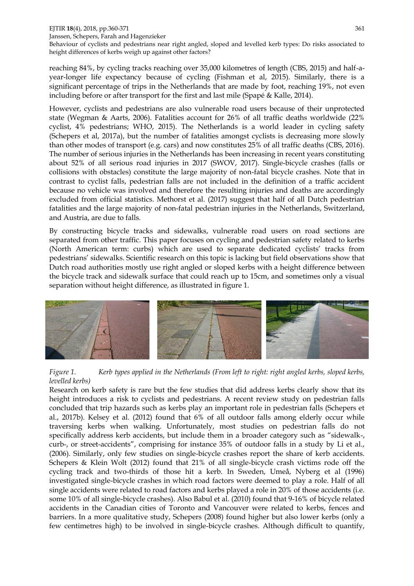#### EJTIR **18**(4), 2018, pp.360-371 361 Janssen, Schepers, Farah and Hagenzieker Behaviour of cyclists and pedestrians near right angled, sloped and levelled kerb types: Do risks associated to height differences of kerbs weigh up against other factors?

reaching 84%, by cycling tracks reaching over 35,000 kilometres of length (CBS, 2015) and half-ayear-longer life expectancy because of cycling (Fishman et al, 2015). Similarly, there is a significant percentage of trips in the Netherlands that are made by foot, reaching 19%, not even including before or after transport for the first and last mile (Spapé & Kalle, 2014).

However, cyclists and pedestrians are also vulnerable road users because of their unprotected state (Wegman & Aarts, 2006). Fatalities account for 26% of all traffic deaths worldwide (22% cyclist, 4% pedestrians; WHO, 2015). The Netherlands is a world leader in cycling safety (Schepers et al, 2017a), but the number of fatalities amongst cyclists is decreasing more slowly than other modes of transport (e.g. cars) and now constitutes 25% of all traffic deaths (CBS, 2016). The number of serious injuries in the Netherlands has been increasing in recent years constituting about 52% of all serious road injuries in 2017 (SWOV, 2017). Single-bicycle crashes (falls or collisions with obstacles) constitute the large majority of non-fatal bicycle crashes. Note that in contrast to cyclist falls, pedestrian falls are not included in the definition of a traffic accident because no vehicle was involved and therefore the resulting injuries and deaths are accordingly excluded from official statistics. Methorst et al. (2017) suggest that half of all Dutch pedestrian fatalities and the large majority of non-fatal pedestrian injuries in the Netherlands, Switzerland, and Austria, are due to falls.

By constructing bicycle tracks and sidewalks, vulnerable road users on road sections are separated from other traffic. This paper focuses on cycling and pedestrian safety related to kerbs (North American term: curbs) which are used to separate dedicated cyclists' tracks from pedestrians' sidewalks. Scientific research on this topic is lacking but field observations show that Dutch road authorities mostly use right angled or sloped kerbs with a height difference between the bicycle track and sidewalk surface that could reach up to 15cm, and sometimes only a visual separation without height difference, as illustrated in figure 1.



*Figure 1. Kerb types applied in the Netherlands (From left to right: right angled kerbs, sloped kerbs, levelled kerbs)*

Research on kerb safety is rare but the few studies that did address kerbs clearly show that its height introduces a risk to cyclists and pedestrians. A recent review study on pedestrian falls concluded that trip hazards such as kerbs play an important role in pedestrian falls (Schepers et al., 2017b). Kelsey et al. (2012) found that 6% of all outdoor falls among elderly occur while traversing kerbs when walking. Unfortunately, most studies on pedestrian falls do not specifically address kerb accidents, but include them in a broader category such as "sidewalk-, curb-, or street-accidents", comprising for instance 35% of outdoor falls in a study by Li et al., (2006). Similarly, only few studies on single-bicycle crashes report the share of kerb accidents. Schepers & Klein Wolt (2012) found that 21% of all single-bicycle crash victims rode off the cycling track and two-thirds of those hit a kerb. In Sweden, Umeå, Nyberg et al (1996) investigated single-bicycle crashes in which road factors were deemed to play a role. Half of all single accidents were related to road factors and kerbs played a role in 20% of those accidents (i.e. some 10% of all single-bicycle crashes). Also Babul et al. (2010) found that 9-16% of bicycle related accidents in the Canadian cities of Toronto and Vancouver were related to kerbs, fences and barriers. In a more qualitative study, Schepers (2008) found higher but also lower kerbs (only a few centimetres high) to be involved in single-bicycle crashes. Although difficult to quantify,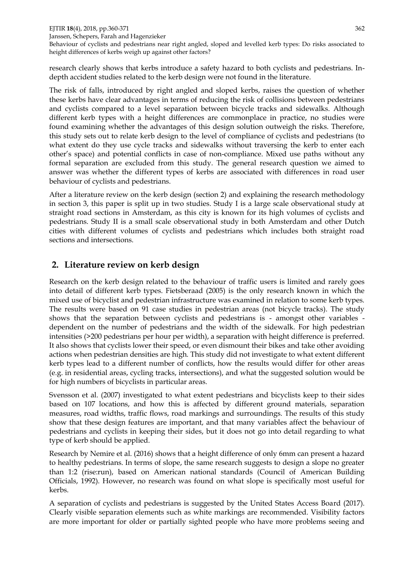EJTIR **18**(4), 2018, pp.360-371 362 Janssen, Schepers, Farah and Hagenzieker Behaviour of cyclists and pedestrians near right angled, sloped and levelled kerb types: Do risks associated to height differences of kerbs weigh up against other factors?

research clearly shows that kerbs introduce a safety hazard to both cyclists and pedestrians. Indepth accident studies related to the kerb design were not found in the literature.

The risk of falls, introduced by right angled and sloped kerbs, raises the question of whether these kerbs have clear advantages in terms of reducing the risk of collisions between pedestrians and cyclists compared to a level separation between bicycle tracks and sidewalks. Although different kerb types with a height differences are commonplace in practice, no studies were found examining whether the advantages of this design solution outweigh the risks. Therefore, this study sets out to relate kerb design to the level of compliance of cyclists and pedestrians (to what extent do they use cycle tracks and sidewalks without traversing the kerb to enter each other's space) and potential conflicts in case of non-compliance. Mixed use paths without any formal separation are excluded from this study. The general research question we aimed to answer was whether the different types of kerbs are associated with differences in road user behaviour of cyclists and pedestrians.

After a literature review on the kerb design (section 2) and explaining the research methodology in section 3, this paper is split up in two studies. Study I is a large scale observational study at straight road sections in Amsterdam, as this city is known for its high volumes of cyclists and pedestrians. Study II is a small scale observational study in both Amsterdam and other Dutch cities with different volumes of cyclists and pedestrians which includes both straight road sections and intersections.

## **2. Literature review on kerb design**

Research on the kerb design related to the behaviour of traffic users is limited and rarely goes into detail of different kerb types. Fietsberaad (2005) is the only research known in which the mixed use of bicyclist and pedestrian infrastructure was examined in relation to some kerb types. The results were based on 91 case studies in pedestrian areas (not bicycle tracks). The study shows that the separation between cyclists and pedestrians is - amongst other variables dependent on the number of pedestrians and the width of the sidewalk. For high pedestrian intensities (>200 pedestrians per hour per width), a separation with height difference is preferred. It also shows that cyclists lower their speed, or even dismount their bikes and take other avoiding actions when pedestrian densities are high. This study did not investigate to what extent different kerb types lead to a different number of conflicts, how the results would differ for other areas (e.g. in residential areas, cycling tracks, intersections), and what the suggested solution would be for high numbers of bicyclists in particular areas.

Svensson et al. (2007) investigated to what extent pedestrians and bicyclists keep to their sides based on 107 locations, and how this is affected by different ground materials, separation measures, road widths, traffic flows, road markings and surroundings. The results of this study show that these design features are important, and that many variables affect the behaviour of pedestrians and cyclists in keeping their sides, but it does not go into detail regarding to what type of kerb should be applied.

Research by Nemire et al. (2016) shows that a height difference of only 6mm can present a hazard to healthy pedestrians. In terms of slope, the same research suggests to design a slope no greater than 1:2 (rise:run), based on American national standards (Council of American Building Officials, 1992). However, no research was found on what slope is specifically most useful for kerbs.

A separation of cyclists and pedestrians is suggested by the United States Access Board (2017). Clearly visible separation elements such as white markings are recommended. Visibility factors are more important for older or partially sighted people who have more problems seeing and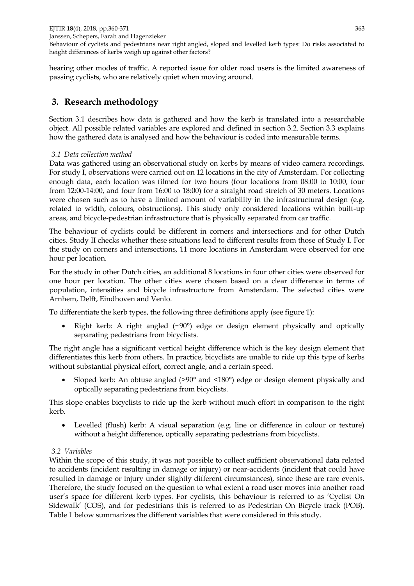hearing other modes of traffic. A reported issue for older road users is the limited awareness of passing cyclists, who are relatively quiet when moving around.

# **3. Research methodology**

Section 3.1 describes how data is gathered and how the kerb is translated into a researchable object. All possible related variables are explored and defined in section 3.2. Section 3.3 explains how the gathered data is analysed and how the behaviour is coded into measurable terms.

#### *3.1 Data collection method*

Data was gathered using an observational study on kerbs by means of video camera recordings. For study I, observations were carried out on 12 locations in the city of Amsterdam. For collecting enough data, each location was filmed for two hours (four locations from 08:00 to 10:00, four from 12:00-14:00, and four from 16:00 to 18:00) for a straight road stretch of 30 meters. Locations were chosen such as to have a limited amount of variability in the infrastructural design (e.g. related to width, colours, obstructions). This study only considered locations within built-up areas, and bicycle-pedestrian infrastructure that is physically separated from car traffic.

The behaviour of cyclists could be different in corners and intersections and for other Dutch cities. Study II checks whether these situations lead to different results from those of Study I. For the study on corners and intersections, 11 more locations in Amsterdam were observed for one hour per location.

For the study in other Dutch cities, an additional 8 locations in four other cities were observed for one hour per location. The other cities were chosen based on a clear difference in terms of population, intensities and bicycle infrastructure from Amsterdam. The selected cities were Arnhem, Delft, Eindhoven and Venlo.

To differentiate the kerb types, the following three definitions apply (see figure 1):

• Right kerb: A right angled  $(\sim 90^{\circ})$  edge or design element physically and optically separating pedestrians from bicyclists.

The right angle has a significant vertical height difference which is the key design element that differentiates this kerb from others. In practice, bicyclists are unable to ride up this type of kerbs without substantial physical effort, correct angle, and a certain speed.

 Sloped kerb: An obtuse angled (>90° and <180°) edge or design element physically and optically separating pedestrians from bicyclists.

This slope enables bicyclists to ride up the kerb without much effort in comparison to the right kerb.

 Levelled (flush) kerb: A visual separation (e.g. line or difference in colour or texture) without a height difference, optically separating pedestrians from bicyclists.

#### *3.2 Variables*

Within the scope of this study, it was not possible to collect sufficient observational data related to accidents (incident resulting in damage or injury) or near-accidents (incident that could have resulted in damage or injury under slightly different circumstances), since these are rare events. Therefore, the study focused on the question to what extent a road user moves into another road user's space for different kerb types. For cyclists, this behaviour is referred to as 'Cyclist On Sidewalk' (COS), and for pedestrians this is referred to as Pedestrian On Bicycle track (POB). Table 1 below summarizes the different variables that were considered in this study.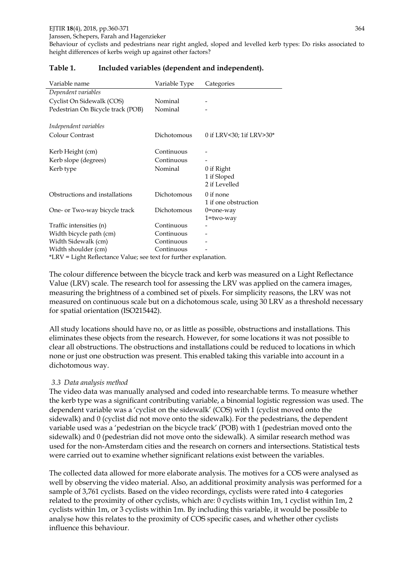height differences of kerbs weigh up against other factors?

| Variable name                                                     | Variable Type | Categories               |  |  |  |
|-------------------------------------------------------------------|---------------|--------------------------|--|--|--|
| Dependent variables                                               |               |                          |  |  |  |
| Cyclist On Sidewalk (COS)                                         | Nominal       |                          |  |  |  |
| Pedestrian On Bicycle track (POB)                                 | Nominal       |                          |  |  |  |
|                                                                   |               |                          |  |  |  |
| Independent variables                                             |               |                          |  |  |  |
| Colour Contrast                                                   | Dichotomous   | 0 if LRV<30; 1if LRV>30* |  |  |  |
|                                                                   |               |                          |  |  |  |
| Kerb Height (cm)                                                  | Continuous    |                          |  |  |  |
| Kerb slope (degrees)                                              | Continuous    |                          |  |  |  |
| Kerb type                                                         | Nominal       | 0 if Right               |  |  |  |
|                                                                   |               | 1 if Sloped              |  |  |  |
|                                                                   |               | 2 if Levelled            |  |  |  |
| Obstructions and installations                                    | Dichotomous   | $0$ if none              |  |  |  |
|                                                                   |               | 1 if one obstruction     |  |  |  |
| One- or Two-way bicycle track                                     | Dichotomous   | $0$ =one-way             |  |  |  |
|                                                                   |               | $1 = two-way$            |  |  |  |
| Traffic intensities (n)                                           | Continuous    |                          |  |  |  |
| Width bicycle path (cm)                                           | Continuous    |                          |  |  |  |
| Width Sidewalk (cm)                                               | Continuous    |                          |  |  |  |
| Width shoulder (cm)                                               | Continuous    |                          |  |  |  |
| *LRV = Light Reflectance Value; see text for further explanation. |               |                          |  |  |  |

#### **Table 1. Included variables (dependent and independent).**

The colour difference between the bicycle track and kerb was measured on a Light Reflectance Value (LRV) scale. The research tool for assessing the LRV was applied on the camera images, measuring the brightness of a combined set of pixels. For simplicity reasons, the LRV was not measured on continuous scale but on a dichotomous scale, using 30 LRV as a threshold necessary for spatial orientation (ISO215442).

All study locations should have no, or as little as possible, obstructions and installations. This eliminates these objects from the research. However, for some locations it was not possible to clear all obstructions. The obstructions and installations could be reduced to locations in which none or just one obstruction was present. This enabled taking this variable into account in a dichotomous way.

#### *3.3 Data analysis method*

The video data was manually analysed and coded into researchable terms. To measure whether the kerb type was a significant contributing variable, a binomial logistic regression was used. The dependent variable was a 'cyclist on the sidewalk' (COS) with 1 (cyclist moved onto the sidewalk) and 0 (cyclist did not move onto the sidewalk). For the pedestrians, the dependent variable used was a 'pedestrian on the bicycle track' (POB) with 1 (pedestrian moved onto the sidewalk) and 0 (pedestrian did not move onto the sidewalk). A similar research method was used for the non-Amsterdam cities and the research on corners and intersections. Statistical tests were carried out to examine whether significant relations exist between the variables.

The collected data allowed for more elaborate analysis. The motives for a COS were analysed as well by observing the video material. Also, an additional proximity analysis was performed for a sample of 3,761 cyclists. Based on the video recordings, cyclists were rated into 4 categories related to the proximity of other cyclists, which are: 0 cyclists within 1m, 1 cyclist within 1m, 2 cyclists within 1m, or 3 cyclists within 1m. By including this variable, it would be possible to analyse how this relates to the proximity of COS specific cases, and whether other cyclists influence this behaviour.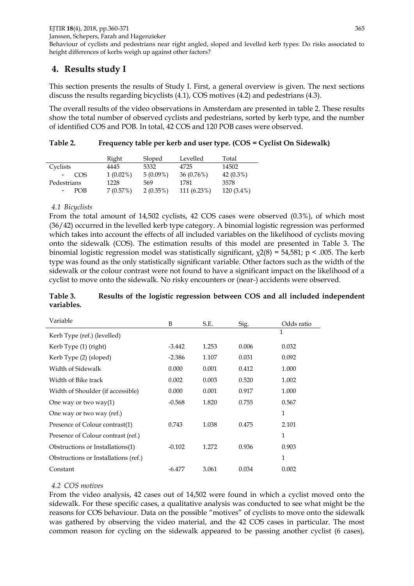Janssen, Schepers, Farah and Hagenzieker

Behaviour of cyclists and pedestrians near right angled, sloped and levelled kerb types: Do risks associated to height differences of kerbs weigh up against other factors?

# **4. Results study I**

This section presents the results of Study I. First, a general overview is given. The next sections discuss the results regarding bicyclists (4.1), COS motives (4.2) and pedestrians (4.3).

The overall results of the video observations in Amsterdam are presented in table 2. These results show the total number of observed cyclists and pedestrians, sorted by kerb type, and the number of identified COS and POB. In total, 42 COS and 120 POB cases were observed.

|             | Right       | Sloped      | Levelled      | Total        |
|-------------|-------------|-------------|---------------|--------------|
| Cyclists    | 4445        | 5332        | 4725          | 14502        |
| COS         | $1(0.02\%)$ | $5(0.09\%)$ | 36 (0.76%)    | $42(0.3\%)$  |
| Pedestrians | 1228        | 569         | 1781          | 3578         |
| POB         | 7(0.57%)    | $2(0.35\%)$ | $111(6.23\%)$ | $120(3.4\%)$ |

#### **Table 2. Frequency table per kerb and user type. (COS = Cyclist On Sidewalk)**

#### *4.1 Bicyclists*

From the total amount of 14,502 cyclists, 42 COS cases were observed (0.3%), of which most (36/42) occurred in the levelled kerb type category. A binomial logistic regression was performed which takes into account the effects of all included variables on the likelihood of cyclists moving onto the sidewalk (COS). The estimation results of this model are presented in Table 3. The binomial logistic regression model was statistically significant,  $\chi$ 2(8) = 54,581; p < .005. The kerb type was found as the only statistically significant variable. Other factors such as the width of the sidewalk or the colour contrast were not found to have a significant impact on the likelihood of a cyclist to move onto the sidewalk. No risky encounters or (near-) accidents were observed.

#### **Table 3. Results of the logistic regression between COS and all included independent variables.**

| Variable                             | B        | S.E.  | Sig.  | Odds ratio   |
|--------------------------------------|----------|-------|-------|--------------|
| Kerb Type (ref.) (levelled)          |          |       |       | $\mathbf{1}$ |
| Kerb Type (1) (right)                | $-3.442$ | 1.253 | 0.006 | 0.032        |
| Kerb Type (2) (sloped)               | $-2.386$ | 1.107 | 0.031 | 0.092        |
| Width of Sidewalk                    | 0.000    | 0.001 | 0.412 | 1.000        |
| Width of Bike track                  | 0.002    | 0.003 | 0.520 | 1.002        |
| Width of Shoulder (if accessible)    | 0.000    | 0.001 | 0.917 | 1.000        |
| One way or two way $(1)$             | $-0.568$ | 1.820 | 0.755 | 0.567        |
| One way or two way (ref.)            |          |       |       | 1            |
| Presence of Colour contrast(1)       | 0.743    | 1.038 | 0.475 | 2.101        |
| Presence of Colour contrast (ref.)   |          |       |       | 1            |
| Obstructions or Installations(1)     | $-0.102$ | 1.272 | 0.936 | 0.903        |
| Obstructions or Installations (ref.) |          |       |       | $\mathbf{1}$ |
| Constant                             | $-6.477$ | 3.061 | 0.034 | 0.002        |

#### *4.2 COS motives*

From the video analysis, 42 cases out of 14,502 were found in which a cyclist moved onto the sidewalk. For these specific cases, a qualitative analysis was conducted to see what might be the reasons for COS behaviour. Data on the possible "motives" of cyclists to move onto the sidewalk was gathered by observing the video material, and the 42 COS cases in particular. The most common reason for cycling on the sidewalk appeared to be passing another cyclist (6 cases),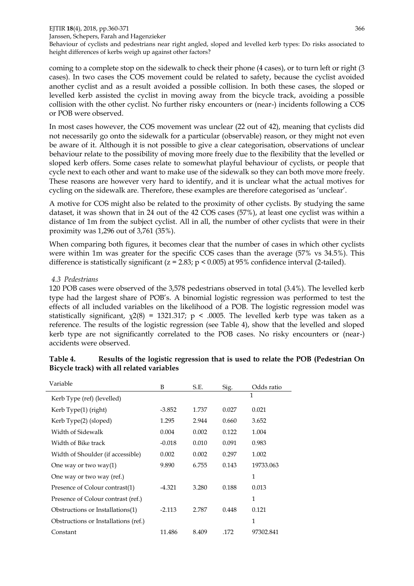#### EJTIR **18**(4), 2018, pp.360-371 366 Janssen, Schepers, Farah and Hagenzieker

Behaviour of cyclists and pedestrians near right angled, sloped and levelled kerb types: Do risks associated to height differences of kerbs weigh up against other factors?

coming to a complete stop on the sidewalk to check their phone (4 cases), or to turn left or right (3 cases). In two cases the COS movement could be related to safety, because the cyclist avoided another cyclist and as a result avoided a possible collision. In both these cases, the sloped or levelled kerb assisted the cyclist in moving away from the bicycle track, avoiding a possible collision with the other cyclist. No further risky encounters or (near-) incidents following a COS or POB were observed.

In most cases however, the COS movement was unclear (22 out of 42), meaning that cyclists did not necessarily go onto the sidewalk for a particular (observable) reason, or they might not even be aware of it. Although it is not possible to give a clear categorisation, observations of unclear behaviour relate to the possibility of moving more freely due to the flexibility that the levelled or sloped kerb offers. Some cases relate to somewhat playful behaviour of cyclists, or people that cycle next to each other and want to make use of the sidewalk so they can both move more freely. These reasons are however very hard to identify, and it is unclear what the actual motives for cycling on the sidewalk are. Therefore, these examples are therefore categorised as 'unclear'.

A motive for COS might also be related to the proximity of other cyclists. By studying the same dataset, it was shown that in 24 out of the 42 COS cases (57%), at least one cyclist was within a distance of 1m from the subject cyclist. All in all, the number of other cyclists that were in their proximity was 1,296 out of 3,761 (35%).

When comparing both figures, it becomes clear that the number of cases in which other cyclists were within 1m was greater for the specific COS cases than the average (57% vs 34.5%). This difference is statistically significant ( $z = 2.83$ ;  $p < 0.005$ ) at 95% confidence interval (2-tailed).

#### *4.3 Pedestrians*

120 POB cases were observed of the 3,578 pedestrians observed in total (3.4%). The levelled kerb type had the largest share of POB's. A binomial logistic regression was performed to test the effects of all included variables on the likelihood of a POB. The logistic regression model was statistically significant,  $\chi^2(8) = 1321.317$ ; p < .0005. The levelled kerb type was taken as a reference. The results of the logistic regression (see Table 4), show that the levelled and sloped kerb type are not significantly correlated to the POB cases. No risky encounters or (near-) accidents were observed.

| Variable                             | B        | S.E.  | Sig.  | Odds ratio |
|--------------------------------------|----------|-------|-------|------------|
| Kerb Type (ref) (levelled)           |          |       |       | 1          |
| Kerb Type(1) (right)                 | $-3.852$ | 1.737 | 0.027 | 0.021      |
| Kerb Type(2) (sloped)                | 1.295    | 2.944 | 0.660 | 3.652      |
| Width of Sidewalk                    | 0.004    | 0.002 | 0.122 | 1.004      |
| Width of Bike track                  | $-0.018$ | 0.010 | 0.091 | 0.983      |
| Width of Shoulder (if accessible)    | 0.002    | 0.002 | 0.297 | 1.002      |
| One way or two way $(1)$             | 9.890    | 6.755 | 0.143 | 19733.063  |
| One way or two way (ref.)            |          |       |       | 1          |
| Presence of Colour contrast(1)       | $-4.321$ | 3.280 | 0.188 | 0.013      |
| Presence of Colour contrast (ref.)   |          |       |       | 1          |
| Obstructions or Installations(1)     | -2.113   | 2.787 | 0.448 | 0.121      |
| Obstructions or Installations (ref.) |          |       |       | 1          |
| Constant                             | 11.486   | 8.409 | .172  | 97302.841  |

#### **Table 4. Results of the logistic regression that is used to relate the POB (Pedestrian On Bicycle track) with all related variables**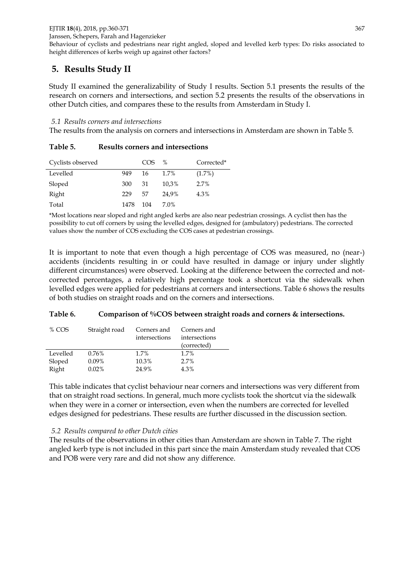Behaviour of cyclists and pedestrians near right angled, sloped and levelled kerb types: Do risks associated to height differences of kerbs weigh up against other factors?

# **5. Results Study II**

Study II examined the generalizability of Study I results. Section 5.1 presents the results of the research on corners and intersections, and section 5.2 presents the results of the observations in other Dutch cities, and compares these to the results from Amsterdam in Study I.

#### *5.1 Results corners and intersections*

The results from the analysis on corners and intersections in Amsterdam are shown in Table 5.

| Cyclists observed |      | COS. | $\%$  | Corrected* |
|-------------------|------|------|-------|------------|
| Levelled          | 949  | 16   | 1.7%  | (1.7%)     |
| Sloped            | 300  | 31   | 10.3% | 2.7%       |
| Right             | 229  | .57  | 24,9% | 4.3%       |
| Total             | 1478 | 104  | 7.0%  |            |

**Table 5. Results corners and intersections**

\*Most locations near sloped and right angled kerbs are also near pedestrian crossings. A cyclist then has the possibility to cut off corners by using the levelled edges, designed for (ambulatory) pedestrians. The corrected values show the number of COS excluding the COS cases at pedestrian crossings.

It is important to note that even though a high percentage of COS was measured, no (near-) accidents (incidents resulting in or could have resulted in damage or injury under slightly different circumstances) were observed. Looking at the difference between the corrected and notcorrected percentages, a relatively high percentage took a shortcut via the sidewalk when levelled edges were applied for pedestrians at corners and intersections. Table 6 shows the results of both studies on straight roads and on the corners and intersections.

#### **Table 6. Comparison of %COS between straight roads and corners & intersections.**

| % COS    | Straight road | Corners and<br>intersections | Corners and<br>intersections |
|----------|---------------|------------------------------|------------------------------|
|          |               |                              | (corrected)                  |
| Levelled | 0.76%         | 1.7%                         | 1.7%                         |
| Sloped   | $0.09\%$      | 10.3%                        | 2.7%                         |
| Right    | 0.02%         | 24.9%                        | 4.3%                         |

This table indicates that cyclist behaviour near corners and intersections was very different from that on straight road sections. In general, much more cyclists took the shortcut via the sidewalk when they were in a corner or intersection, even when the numbers are corrected for levelled edges designed for pedestrians. These results are further discussed in the discussion section.

#### *5.2 Results compared to other Dutch cities*

The results of the observations in other cities than Amsterdam are shown in Table 7. The right angled kerb type is not included in this part since the main Amsterdam study revealed that COS and POB were very rare and did not show any difference.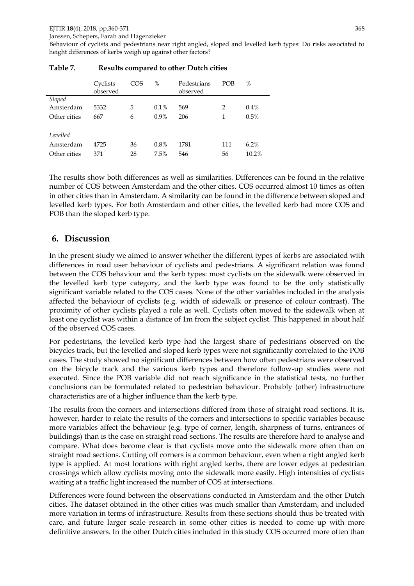Janssen, Schepers, Farah and Hagenzieker

Behaviour of cyclists and pedestrians near right angled, sloped and levelled kerb types: Do risks associated to height differences of kerbs weigh up against other factors?

|              | Cyclists<br>observed | COS | %       | Pedestrians<br>observed | <b>POB</b> | %        |
|--------------|----------------------|-----|---------|-------------------------|------------|----------|
| Sloped       |                      |     |         |                         |            |          |
| Amsterdam    | 5332                 | 5   | $0.1\%$ | 569                     | 2          | 0.4%     |
| Other cities | 667                  | 6   | $0.9\%$ | 206                     | 1          | 0.5%     |
| Levelled     |                      |     |         |                         |            |          |
| Amsterdam    | 4725                 | 36  | 0.8%    | 1781                    | 111        | 6.2%     |
| Other cities | 371                  | 28  | 7.5%    | 546                     | 56         | $10.2\%$ |

#### **Table 7. Results compared to other Dutch cities**

The results show both differences as well as similarities. Differences can be found in the relative number of COS between Amsterdam and the other cities. COS occurred almost 10 times as often in other cities than in Amsterdam. A similarity can be found in the difference between sloped and levelled kerb types. For both Amsterdam and other cities, the levelled kerb had more COS and POB than the sloped kerb type.

## **6. Discussion**

In the present study we aimed to answer whether the different types of kerbs are associated with differences in road user behaviour of cyclists and pedestrians. A significant relation was found between the COS behaviour and the kerb types: most cyclists on the sidewalk were observed in the levelled kerb type category, and the kerb type was found to be the only statistically significant variable related to the COS cases. None of the other variables included in the analysis affected the behaviour of cyclists (e.g. width of sidewalk or presence of colour contrast). The proximity of other cyclists played a role as well. Cyclists often moved to the sidewalk when at least one cyclist was within a distance of 1m from the subject cyclist. This happened in about half of the observed COS cases.

For pedestrians, the levelled kerb type had the largest share of pedestrians observed on the bicycles track, but the levelled and sloped kerb types were not significantly correlated to the POB cases. The study showed no significant differences between how often pedestrians were observed on the bicycle track and the various kerb types and therefore follow-up studies were not executed. Since the POB variable did not reach significance in the statistical tests, no further conclusions can be formulated related to pedestrian behaviour. Probably (other) infrastructure characteristics are of a higher influence than the kerb type.

The results from the corners and intersections differed from those of straight road sections. It is, however, harder to relate the results of the corners and intersections to specific variables because more variables affect the behaviour (e.g. type of corner, length, sharpness of turns, entrances of buildings) than is the case on straight road sections. The results are therefore hard to analyse and compare. What does become clear is that cyclists move onto the sidewalk more often than on straight road sections. Cutting off corners is a common behaviour, even when a right angled kerb type is applied. At most locations with right angled kerbs, there are lower edges at pedestrian crossings which allow cyclists moving onto the sidewalk more easily. High intensities of cyclists waiting at a traffic light increased the number of COS at intersections.

Differences were found between the observations conducted in Amsterdam and the other Dutch cities. The dataset obtained in the other cities was much smaller than Amsterdam, and included more variation in terms of infrastructure. Results from these sections should thus be treated with care, and future larger scale research in some other cities is needed to come up with more definitive answers. In the other Dutch cities included in this study COS occurred more often than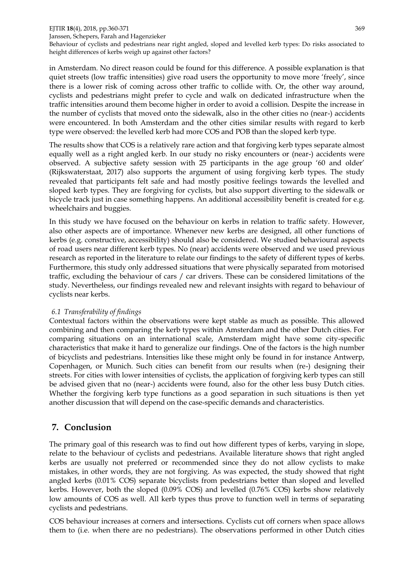#### EJTIR **18**(4), 2018, pp.360-371 369

Janssen, Schepers, Farah and Hagenzieker Behaviour of cyclists and pedestrians near right angled, sloped and levelled kerb types: Do risks associated to

height differences of kerbs weigh up against other factors? in Amsterdam. No direct reason could be found for this difference. A possible explanation is that quiet streets (low traffic intensities) give road users the opportunity to move more 'freely', since there is a lower risk of coming across other traffic to collide with. Or, the other way around, cyclists and pedestrians might prefer to cycle and walk on dedicated infrastructure when the

traffic intensities around them become higher in order to avoid a collision. Despite the increase in the number of cyclists that moved onto the sidewalk, also in the other cities no (near-) accidents were encountered. In both Amsterdam and the other cities similar results with regard to kerb type were observed: the levelled kerb had more COS and POB than the sloped kerb type.

The results show that COS is a relatively rare action and that forgiving kerb types separate almost equally well as a right angled kerb. In our study no risky encounters or (near-) accidents were observed. A subjective safety session with 25 participants in the age group '60 and older' (Rijkswaterstaat, 2017) also supports the argument of using forgiving kerb types. The study revealed that participants felt safe and had mostly positive feelings towards the levelled and sloped kerb types. They are forgiving for cyclists, but also support diverting to the sidewalk or bicycle track just in case something happens. An additional accessibility benefit is created for e.g. wheelchairs and buggies.

In this study we have focused on the behaviour on kerbs in relation to traffic safety. However, also other aspects are of importance. Whenever new kerbs are designed, all other functions of kerbs (e.g. constructive, accessibility) should also be considered. We studied behavioural aspects of road users near different kerb types. No (near) accidents were observed and we used previous research as reported in the literature to relate our findings to the safety of different types of kerbs. Furthermore, this study only addressed situations that were physically separated from motorised traffic, excluding the behaviour of cars / car drivers. These can be considered limitations of the study. Nevertheless, our findings revealed new and relevant insights with regard to behaviour of cyclists near kerbs.

#### *6.1 Transferability of findings*

Contextual factors within the observations were kept stable as much as possible. This allowed combining and then comparing the kerb types within Amsterdam and the other Dutch cities. For comparing situations on an international scale, Amsterdam might have some city-specific characteristics that make it hard to generalize our findings. One of the factors is the high number of bicyclists and pedestrians. Intensities like these might only be found in for instance Antwerp, Copenhagen, or Munich. Such cities can benefit from our results when (re-) designing their streets. For cities with lower intensities of cyclists, the application of forgiving kerb types can still be advised given that no (near-) accidents were found, also for the other less busy Dutch cities. Whether the forgiving kerb type functions as a good separation in such situations is then yet another discussion that will depend on the case-specific demands and characteristics.

# **7. Conclusion**

The primary goal of this research was to find out how different types of kerbs, varying in slope, relate to the behaviour of cyclists and pedestrians. Available literature shows that right angled kerbs are usually not preferred or recommended since they do not allow cyclists to make mistakes, in other words, they are not forgiving. As was expected, the study showed that right angled kerbs (0.01% COS) separate bicyclists from pedestrians better than sloped and levelled kerbs. However, both the sloped (0.09% COS) and levelled (0.76% COS) kerbs show relatively low amounts of COS as well. All kerb types thus prove to function well in terms of separating cyclists and pedestrians.

COS behaviour increases at corners and intersections. Cyclists cut off corners when space allows them to (i.e. when there are no pedestrians). The observations performed in other Dutch cities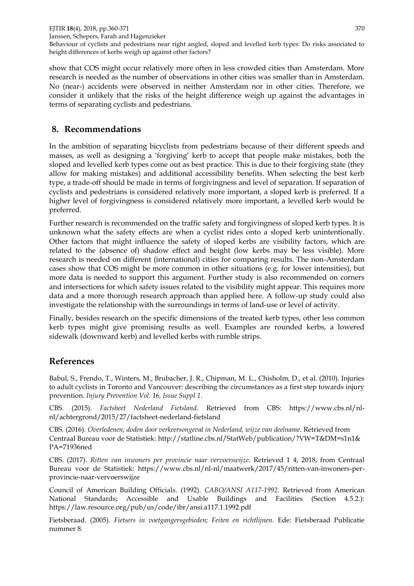show that COS might occur relatively more often in less crowded cities than Amsterdam. More research is needed as the number of observations in other cities was smaller than in Amsterdam. No (near-) accidents were observed in neither Amsterdam nor in other cities. Therefore, we consider it unlikely that the risks of the height difference weigh up against the advantages in terms of separating cyclists and pedestrians.

# **8. Recommendations**

In the ambition of separating bicyclists from pedestrians because of their different speeds and masses, as well as designing a 'forgiving' kerb to accept that people make mistakes, both the sloped and levelled kerb types come out as best practice. This is due to their forgiving state (they allow for making mistakes) and additional accessibility benefits. When selecting the best kerb type, a trade-off should be made in terms of forgivingness and level of separation. If separation of cyclists and pedestrians is considered relatively more important, a sloped kerb is preferred. If a higher level of forgivingness is considered relatively more important, a levelled kerb would be preferred.

Further research is recommended on the traffic safety and forgivingness of sloped kerb types. It is unknown what the safety effects are when a cyclist rides onto a sloped kerb unintentionally. Other factors that might influence the safety of sloped kerbs are visibility factors, which are related to the (absence of) shadow effect and height (low kerbs may be less visible). More research is needed on different (international) cities for comparing results. The non-Amsterdam cases show that COS might be more common in other situations (e.g. for lower intensities), but more data is needed to support this argument. Further study is also recommended on corners and intersections for which safety issues related to the visibility might appear. This requires more data and a more thorough research approach than applied here. A follow-up study could also investigate the relationship with the surroundings in terms of land-use or level of activity.

Finally, besides research on the specific dimensions of the treated kerb types, other less common kerb types might give promising results as well. Examples are rounded kerbs, a lowered sidewalk (downward kerb) and levelled kerbs with rumble strips.

# **References**

Babul, S., Frendo, T., Winters, M., Brubacher, J. R., Chipman, M. L., Chisholm, D., et al. (2010). Injuries to adult cyclists in Toronto and Vancouver: describing the circumstances as a first step towards injury prevention. *Injury Prevention Vol. 16, Issue Suppl 1*.

CBS. (2015). *Factsheet Nederland Fietsland.* Retrieved from CBS: https://www.cbs.nl/nlnl/achtergrond/2015/27/factsheet-nederland-fietsland

CBS. (2016). *Overledenen; doden door verkeersongeval in Nederland, wijze van deelname*. Retrieved from Centraal Bureau voor de Statistiek: http://statline.cbs.nl/StatWeb/publication/?VW=T&DM=s1n1& PA=71936ned

CBS. (2017). *Ritten van inwoners per provincie naar vervoerswijze.* Retrieved 1 4, 2018, from Centraal Bureau voor de Statistiek: https://www.cbs.nl/nl-nl/maatwerk/2017/45/ritten-van-inwoners-perprovincie-naar-vervoerswijze

Council of American Building Officials. (1992). *CABO/ANSI A117-1992.* Retrieved from American National Standards; Accessible and Usable Buildings and Facilities (Section 4.5.2.): https://law.resource.org/pub/us/code/ibr/ansi.a117.1.1992.pdf

Fietsberaad. (2005). *Fietsers in voetgangersgebieden; Feiten en richtlijnen.* Ede: Fietsberaad Publicatie nummer 8.